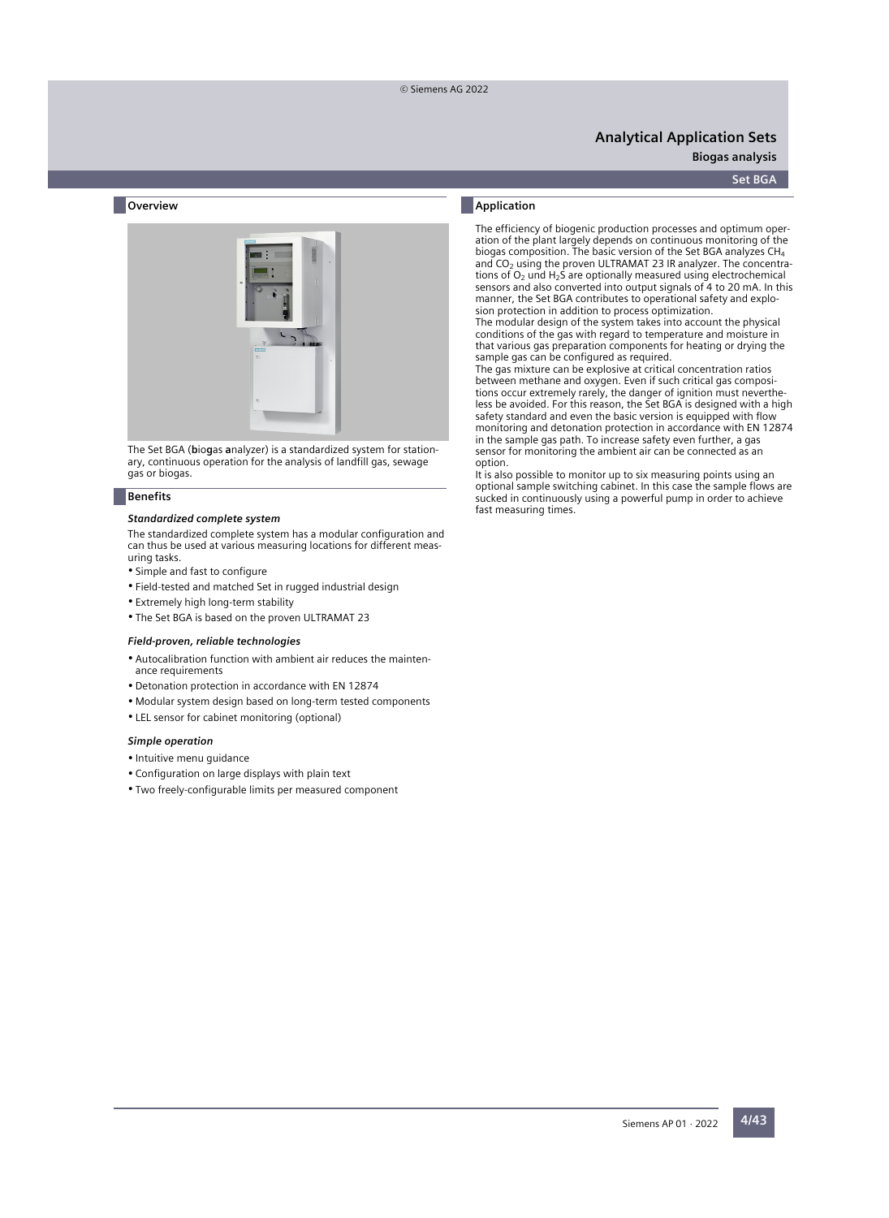**Analytical Application Sets**

**Biogas** analysis

#### **Set BGA**

### **Overview**



The Set BGA (**b**io**g**as **a**nalyzer) is a standardized system for stationary, continuous operation for the analysis of landfill gas, sewage gas or biogas.

#### **Benefits**

#### *Standardized complete system*

The standardized complete system has a modular configuration and can thus be used at various measuring locations for different measuring tasks.

- Simple and fast to configure
- Field-tested and matched Set in rugged industrial design
- Extremely high long-term stability
- The Set BGA is based on the proven ULTRAMAT 23

#### *Field-proven, reliable technologies*

- Autocalibration function with ambient air reduces the maintenance requirements
- Detonation protection in accordance with EN 12874
- Modular system design based on long-term tested components
- LEL sensor for cabinet monitoring (optional)

#### *Simple operation*

- Intuitive menu guidance
- Configuration on large displays with plain text
- Two freely-configurable limits per measured component

### **Application**

The efficiency of biogenic production processes and optimum operation of the plant largely depends on continuous monitoring of the biogas composition. The basic version of the Set BGA analyzes CH<sup>4</sup> and  $CO<sub>2</sub>$  using the proven ULTRAMAT 23 IR analyzer. The concentrations of  $O<sub>2</sub>$  und H<sub>2</sub>S are optionally measured using electrochemical sensors and also converted into output signals of 4 to 20 mA. In this manner, the Set BGA contributes to operational safety and explosion protection in addition to process optimization.

The modular design of the system takes into account the physical conditions of the gas with regard to temperature and moisture in that various gas preparation components for heating or drying the sample gas can be configured as required.

The gas mixture can be explosive at critical concentration ratios between methane and oxygen. Even if such critical gas compositions occur extremely rarely, the danger of ignition must nevertheless be avoided. For this reason, the Set BGA is designed with a high safety standard and even the basic version is equipped with flow monitoring and detonation protection in accordance with EN 12874 in the sample gas path. To increase safety even further, a gas sensor for monitoring the ambient air can be connected as an option.

It is also possible to monitor up to six measuring points using an optional sample switching cabinet. In this case the sample flows are sucked in continuously using a powerful pump in order to achieve fast measuring times.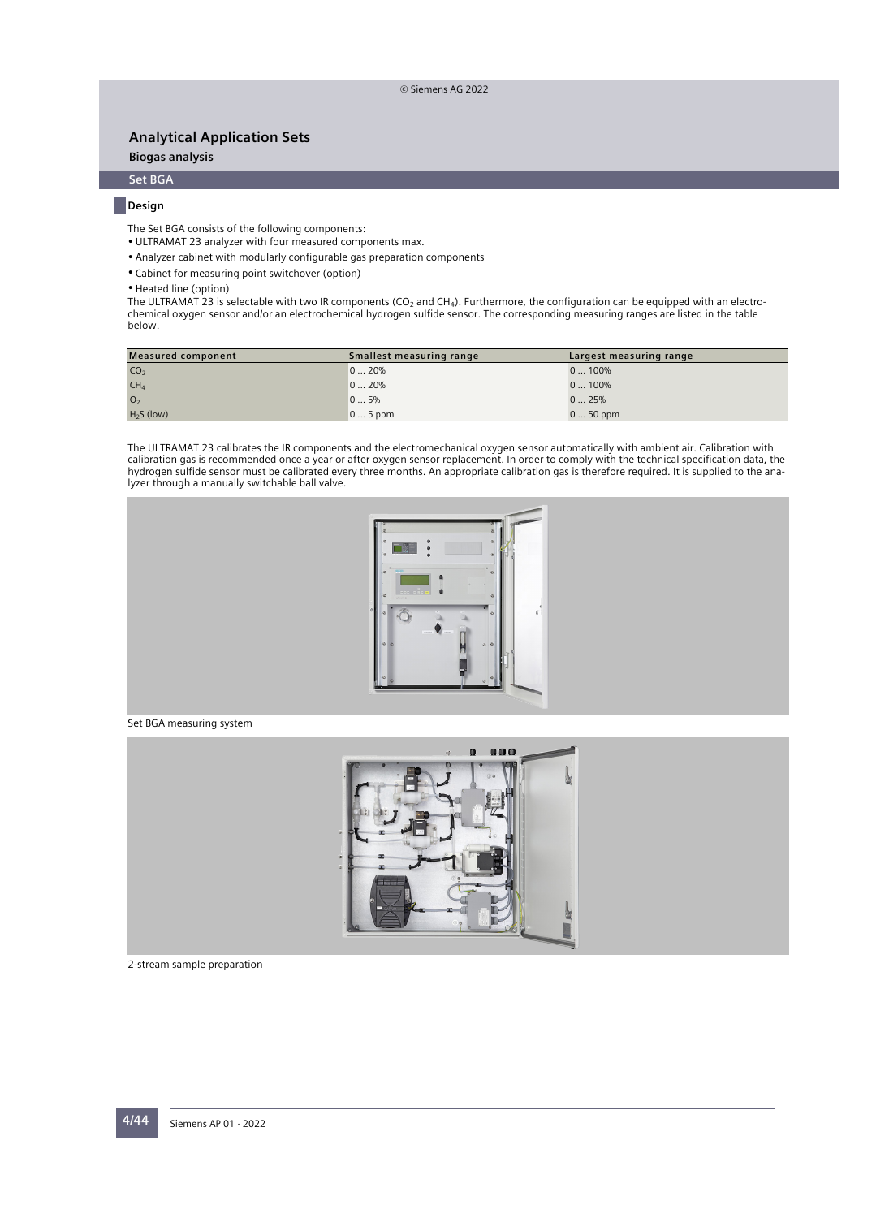**Biogas analysis**

## **Set BGA**

### **Design**

The Set BGA consists of the following components:

- ULTRAMAT 23 analyzer with four measured components max.
- Analyzer cabinet with modularly configurable gas preparation components
- Cabinet for measuring point switchover (option)
- Heated line (option)

The ULTRAMAT 23 is selectable with two IR components (CO<sub>2</sub> and CH<sub>4</sub>). Furthermore, the configuration can be equipped with an electrochemical oxygen sensor and/or an electrochemical hydrogen sulfide sensor. The corresponding measuring ranges are listed in the table below.

| <b>Measured component</b> | Smallest measuring range | Largest measuring range |  |  |  |  |  |
|---------------------------|--------------------------|-------------------------|--|--|--|--|--|
| CO <sub>2</sub>           | 020%                     | 0100%                   |  |  |  |  |  |
| CH <sub>4</sub>           | 020%                     | 0100%                   |  |  |  |  |  |
| O <sub>2</sub>            | 05%                      | 025%                    |  |  |  |  |  |
| $H2S$ (low)               | $05$ ppm                 | $050$ ppm               |  |  |  |  |  |

The ULTRAMAT 23 calibrates the IR components and the electromechanical oxygen sensor automatically with ambient air. Calibration with calibration gas is recommended once a year or after oxygen sensor replacement. In order to comply with the technical specification data, the hydrogen sulfide sensor must be calibrated every three months. An appropriate calibration gas is therefore required. It is supplied to the analyzer through a manually switchable ball valve.



### Set BGA measuring system



2-stream sample preparation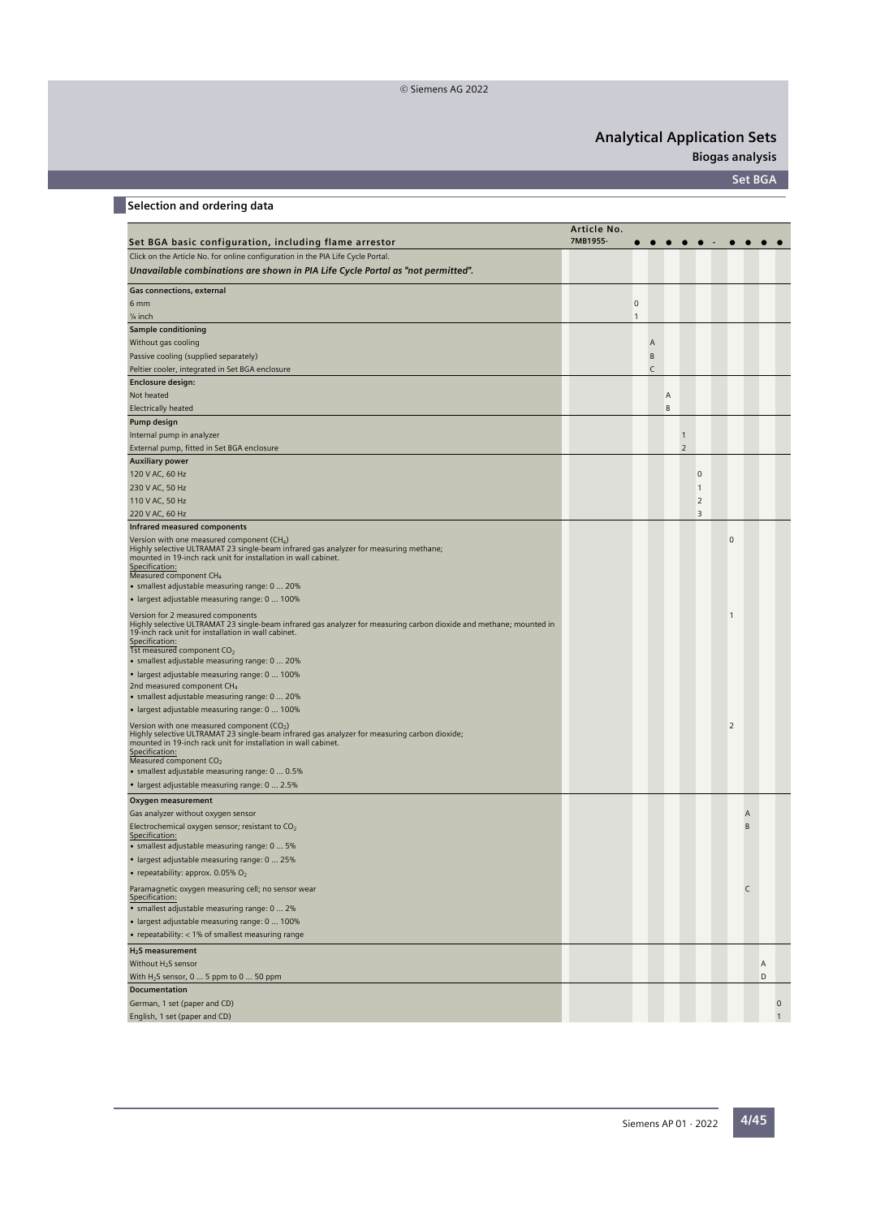**Biogas analysis**

**Set BGA**

## **Selection and ordering data**

|                                                                                                                                                                                                                                                                                                                              | Article No. |              |   |   |                |                |             |                     |   |              |
|------------------------------------------------------------------------------------------------------------------------------------------------------------------------------------------------------------------------------------------------------------------------------------------------------------------------------|-------------|--------------|---|---|----------------|----------------|-------------|---------------------|---|--------------|
| Set BGA basic configuration, including flame arrestor                                                                                                                                                                                                                                                                        | 7MB1955-    |              |   |   |                |                |             |                     |   |              |
| Click on the Article No. for online configuration in the PIA Life Cycle Portal.                                                                                                                                                                                                                                              |             |              |   |   |                |                |             |                     |   |              |
| Unavailable combinations are shown in PIA Life Cycle Portal as "not permitted".                                                                                                                                                                                                                                              |             |              |   |   |                |                |             |                     |   |              |
| Gas connections, external                                                                                                                                                                                                                                                                                                    |             |              |   |   |                |                |             |                     |   |              |
| 6 mm                                                                                                                                                                                                                                                                                                                         |             | $\mathbf 0$  |   |   |                |                |             |                     |   |              |
| $\frac{1}{4}$ inch                                                                                                                                                                                                                                                                                                           |             | $\mathbf{1}$ |   |   |                |                |             |                     |   |              |
| Sample conditioning                                                                                                                                                                                                                                                                                                          |             |              |   |   |                |                |             |                     |   |              |
| Without gas cooling                                                                                                                                                                                                                                                                                                          |             |              | A |   |                |                |             |                     |   |              |
| Passive cooling (supplied separately)                                                                                                                                                                                                                                                                                        |             |              | B |   |                |                |             |                     |   |              |
| Peltier cooler, integrated in Set BGA enclosure                                                                                                                                                                                                                                                                              |             |              | C |   |                |                |             |                     |   |              |
| <b>Enclosure design:</b>                                                                                                                                                                                                                                                                                                     |             |              |   |   |                |                |             |                     |   |              |
| Not heated                                                                                                                                                                                                                                                                                                                   |             |              |   | Α |                |                |             |                     |   |              |
| <b>Electrically heated</b>                                                                                                                                                                                                                                                                                                   |             |              |   | B |                |                |             |                     |   |              |
| Pump design                                                                                                                                                                                                                                                                                                                  |             |              |   |   |                |                |             |                     |   |              |
| Internal pump in analyzer                                                                                                                                                                                                                                                                                                    |             |              |   |   | $\mathbf{1}$   |                |             |                     |   |              |
| External pump, fitted in Set BGA enclosure                                                                                                                                                                                                                                                                                   |             |              |   |   | $\overline{2}$ |                |             |                     |   |              |
|                                                                                                                                                                                                                                                                                                                              |             |              |   |   |                |                |             |                     |   |              |
| <b>Auxiliary power</b>                                                                                                                                                                                                                                                                                                       |             |              |   |   |                | $\mathbf 0$    |             |                     |   |              |
| 120 V AC, 60 Hz                                                                                                                                                                                                                                                                                                              |             |              |   |   |                |                |             |                     |   |              |
| 230 V AC, 50 Hz                                                                                                                                                                                                                                                                                                              |             |              |   |   |                | 1              |             |                     |   |              |
| 110 V AC, 50 Hz                                                                                                                                                                                                                                                                                                              |             |              |   |   |                | $\overline{2}$ |             |                     |   |              |
| 220 V AC, 60 Hz                                                                                                                                                                                                                                                                                                              |             |              |   |   |                | 3              |             |                     |   |              |
| Infrared measured components                                                                                                                                                                                                                                                                                                 |             |              |   |   |                |                |             |                     |   |              |
| Version with one measured component (CH <sub>4</sub> )<br>Highly selective ULTRAMAT 23 single-beam infrared gas analyzer for measuring methane;<br>mounted in 19-inch rack unit for installation in wall cabinet.<br>Specification:<br>Measured component CH <sub>4</sub>                                                    |             |              |   |   |                |                | $\mathbf 0$ |                     |   |              |
| • smallest adjustable measuring range: 0  20%                                                                                                                                                                                                                                                                                |             |              |   |   |                |                |             |                     |   |              |
| • largest adjustable measuring range: 0  100%                                                                                                                                                                                                                                                                                |             |              |   |   |                |                |             |                     |   |              |
| Version for 2 measured components<br>Highly selective ULTRAMAT 23 single-beam infrared gas analyzer for measuring carbon dioxide and methane; mounted in<br>19-inch rack unit for installation in wall cabinet.<br>Specification:<br>1st measured component CO <sub>2</sub><br>• smallest adjustable measuring range: 0  20% |             |              |   |   |                |                | 1           |                     |   |              |
| • largest adjustable measuring range: 0  100%                                                                                                                                                                                                                                                                                |             |              |   |   |                |                |             |                     |   |              |
| 2nd measured component CH <sub>4</sub>                                                                                                                                                                                                                                                                                       |             |              |   |   |                |                |             |                     |   |              |
| • smallest adjustable measuring range: 0  20%                                                                                                                                                                                                                                                                                |             |              |   |   |                |                |             |                     |   |              |
| • largest adjustable measuring range: 0  100%                                                                                                                                                                                                                                                                                |             |              |   |   |                |                |             |                     |   |              |
| Version with one measured component $(CO2)$<br>Highly selective ULTRAMAT 23 single-beam infrared gas analyzer for measuring carbon dioxide;<br>mounted in 19-inch rack unit for installation in wall cabinet.<br>Specification:<br>Measured component CO <sub>2</sub><br>• smallest adjustable measuring range: 0  0.5%      |             |              |   |   |                |                | 2           |                     |   |              |
| • largest adjustable measuring range: 0  2.5%                                                                                                                                                                                                                                                                                |             |              |   |   |                |                |             |                     |   |              |
| Oxygen measurement                                                                                                                                                                                                                                                                                                           |             |              |   |   |                |                |             |                     |   |              |
| Gas analyzer without oxygen sensor<br>Electrochemical oxygen sensor; resistant to $CO2$<br>Specification:                                                                                                                                                                                                                    |             |              |   |   |                |                |             | $\overline{A}$<br>B |   |              |
| • smallest adjustable measuring range: 0  5%                                                                                                                                                                                                                                                                                 |             |              |   |   |                |                |             |                     |   |              |
| · largest adjustable measuring range: 0  25%                                                                                                                                                                                                                                                                                 |             |              |   |   |                |                |             |                     |   |              |
| • repeatability: approx. $0.05\%$ O <sub>2</sub>                                                                                                                                                                                                                                                                             |             |              |   |   |                |                |             |                     |   |              |
| Paramagnetic oxygen measuring cell; no sensor wear<br>Specification:<br>• smallest adjustable measuring range: 0  2%                                                                                                                                                                                                         |             |              |   |   |                |                |             | C                   |   |              |
| • largest adjustable measuring range: 0  100%                                                                                                                                                                                                                                                                                |             |              |   |   |                |                |             |                     |   |              |
| • repeatability: < 1% of smallest measuring range                                                                                                                                                                                                                                                                            |             |              |   |   |                |                |             |                     |   |              |
| H <sub>2</sub> S measurement                                                                                                                                                                                                                                                                                                 |             |              |   |   |                |                |             |                     |   |              |
| Without $H_2S$ sensor                                                                                                                                                                                                                                                                                                        |             |              |   |   |                |                |             |                     | Α |              |
|                                                                                                                                                                                                                                                                                                                              |             |              |   |   |                |                |             |                     |   |              |
| With $H_2$ S sensor, 0  5 ppm to 0  50 ppm                                                                                                                                                                                                                                                                                   |             |              |   |   |                |                |             |                     | D |              |
| <b>Documentation</b>                                                                                                                                                                                                                                                                                                         |             |              |   |   |                |                |             |                     |   |              |
| German, 1 set (paper and CD)                                                                                                                                                                                                                                                                                                 |             |              |   |   |                |                |             |                     |   | $\mathbf{0}$ |
| English, 1 set (paper and CD)                                                                                                                                                                                                                                                                                                |             |              |   |   |                |                |             |                     |   | $\mathbf{1}$ |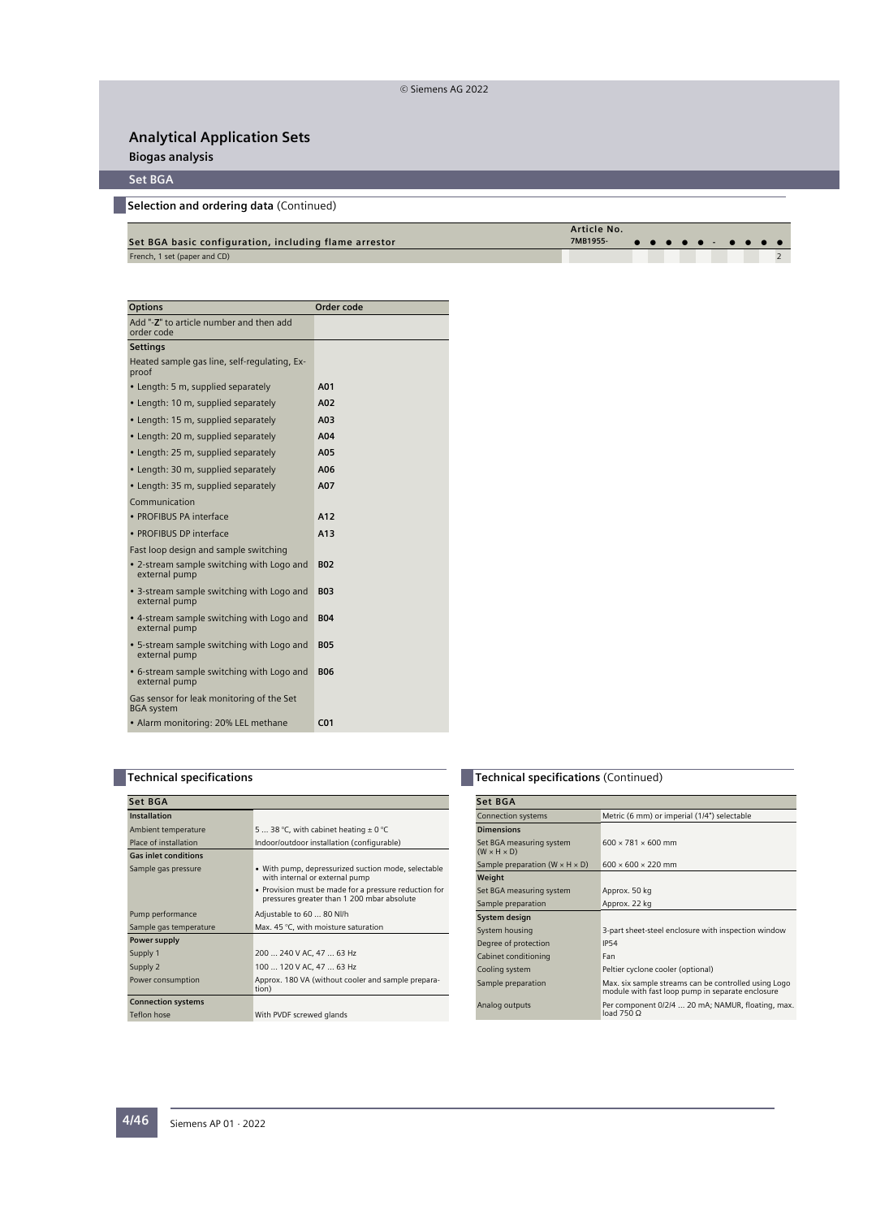**Biogas analysis**

## **Set BGA**

**Selection and ordering data** (Continued)

| Set BGA basic configuration, including flame arrestor | Article No.<br>7MB1955- <b>.</b> |  |  |  |  |  |
|-------------------------------------------------------|----------------------------------|--|--|--|--|--|
| French, 1 set (paper and CD)                          |                                  |  |  |  |  |  |

| <b>Options</b>                                                 | Order code      |
|----------------------------------------------------------------|-----------------|
| Add "-Z" to article number and then add<br>order code          |                 |
| <b>Settings</b>                                                |                 |
| Heated sample gas line, self-regulating, Ex-<br>proof          |                 |
| • Length: 5 m, supplied separately                             | A01             |
| • Length: 10 m, supplied separately                            | A02             |
| • Length: 15 m, supplied separately                            | A03             |
| • Length: 20 m, supplied separately                            | A04             |
| • Length: 25 m, supplied separately                            | A05             |
| • Length: 30 m, supplied separately                            | A06             |
| • Length: 35 m, supplied separately                            | A07             |
| Communication                                                  |                 |
| · PROFIBUS PA interface                                        | A12             |
| • PROFIBUS DP interface                                        | A13             |
| Fast loop design and sample switching                          |                 |
| • 2-stream sample switching with Logo and<br>external pump     | <b>B02</b>      |
| • 3-stream sample switching with Logo and<br>external pump     | <b>B03</b>      |
| • 4-stream sample switching with Logo and<br>external pump     | <b>B04</b>      |
| • 5-stream sample switching with Logo and<br>external pump     | <b>B05</b>      |
| • 6-stream sample switching with Logo and<br>external pump     | <b>BO6</b>      |
| Gas sensor for leak monitoring of the Set<br><b>BGA</b> system |                 |
| • Alarm monitoring: 20% LEL methane                            | CO <sub>1</sub> |

## **Technical specifications**

| Set BGA                     |                                                                                                     |  |  |  |
|-----------------------------|-----------------------------------------------------------------------------------------------------|--|--|--|
| <b>Installation</b>         |                                                                                                     |  |  |  |
| Ambient temperature         | 5  38 °C, with cabinet heating $\pm$ 0 °C                                                           |  |  |  |
| Place of installation       | Indoor/outdoor installation (configurable)                                                          |  |  |  |
| <b>Gas inlet conditions</b> |                                                                                                     |  |  |  |
| Sample gas pressure         | • With pump, depressurized suction mode, selectable<br>with internal or external pump               |  |  |  |
|                             | • Provision must be made for a pressure reduction for<br>pressures greater than 1 200 mbar absolute |  |  |  |
| Pump performance            | Adjustable to 60  80 Nl/h                                                                           |  |  |  |
| Sample gas temperature      | Max. 45 °C, with moisture saturation                                                                |  |  |  |
| Power supply                |                                                                                                     |  |  |  |
| Supply 1                    | 200  240 V AC, 47  63 Hz                                                                            |  |  |  |
| Supply 2                    | 100  120 V AC, 47  63 Hz                                                                            |  |  |  |
| Power consumption           | Approx. 180 VA (without cooler and sample prepara-<br>tion)                                         |  |  |  |
| <b>Connection systems</b>   |                                                                                                     |  |  |  |
| Teflon hose                 | With PVDF screwed glands                                                                            |  |  |  |

## **Technical specifications** (Continued)

| Set BGA                                             |                                                                                                          |  |  |  |  |
|-----------------------------------------------------|----------------------------------------------------------------------------------------------------------|--|--|--|--|
| <b>Connection systems</b>                           | Metric (6 mm) or imperial (1/4") selectable                                                              |  |  |  |  |
| <b>Dimensions</b>                                   |                                                                                                          |  |  |  |  |
| Set BGA measuring system<br>$(W \times H \times D)$ | $600 \times 781 \times 600$ mm                                                                           |  |  |  |  |
| Sample preparation $(W \times H \times D)$          | $600 \times 600 \times 220$ mm                                                                           |  |  |  |  |
| Weight                                              |                                                                                                          |  |  |  |  |
| Set BGA measuring system                            | Approx. 50 kg                                                                                            |  |  |  |  |
| Sample preparation                                  | Approx. 22 kg                                                                                            |  |  |  |  |
| System design                                       |                                                                                                          |  |  |  |  |
| System housing                                      | 3-part sheet-steel enclosure with inspection window                                                      |  |  |  |  |
| Degree of protection                                | <b>IP54</b>                                                                                              |  |  |  |  |
| Cabinet conditioning                                | Fan                                                                                                      |  |  |  |  |
| Cooling system                                      | Peltier cyclone cooler (optional)                                                                        |  |  |  |  |
| Sample preparation                                  | Max, six sample streams can be controlled using Logo<br>module with fast loop pump in separate enclosure |  |  |  |  |
| Analog outputs                                      | Per component 0/2/4  20 mA; NAMUR, floating, max.<br>load 750 Q                                          |  |  |  |  |